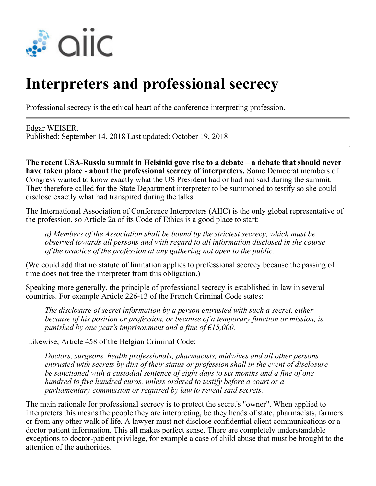

## **Interpreters and professional secrecy**

Professional secrecy is the ethical heart of the conference interpreting profession.

Edgar WEISER. Published: September 14, 2018 Last updated: October 19, 2018

**The recent USA-Russia summit in Helsinki gave rise to a debate – a debate that should never have taken place - about the professional secrecy of interpreters.** Some Democrat members of Congress wanted to know exactly what the US President had or had not said during the summit. They therefore called for the State Department interpreter to be summoned to testify so she could disclose exactly what had transpired during the talks.

The International Association of Conference Interpreters (AIIC) is the only global representative of the profession, so Article 2a of its Code of Ethics is a good place to start:

*a) Members of the Association shall be bound by the strictest secrecy, which must be observed towards all persons and with regard to all information disclosed in the course of the practice of the profession at any gathering not open to the public.*

(We could add that no statute of limitation applies to professional secrecy because the passing of time does not free the interpreter from this obligation.)

Speaking more generally, the principle of professional secrecy is established in law in several countries. For example Article 226-13 of the French Criminal Code states:

*The disclosure of secret information by a person entrusted with such a secret, either because of his position or profession, or because of a temporary function or mission, is punished by one year's imprisonment and a fine of €15,000.*

Likewise, Article 458 of the Belgian Criminal Code:

*Doctors, surgeons, health professionals, pharmacists, midwives and all other persons entrusted with secrets by dint of their status or profession shall in the event of disclosure be sanctioned with a custodial sentence of eight days to six months and a fine of one hundred to five hundred euros, unless ordered to testify before a court or a parliamentary commission or required by law to reveal said secrets.*

The main rationale for professional secrecy is to protect the secret's "owner". When applied to interpreters this means the people they are interpreting, be they heads of state, pharmacists, farmers or from any other walk of life. A lawyer must not disclose confidential client communications or a doctor patient information. This all makes perfect sense. There are completely understandable exceptions to doctor-patient privilege, for example a case of child abuse that must be brought to the attention of the authorities.